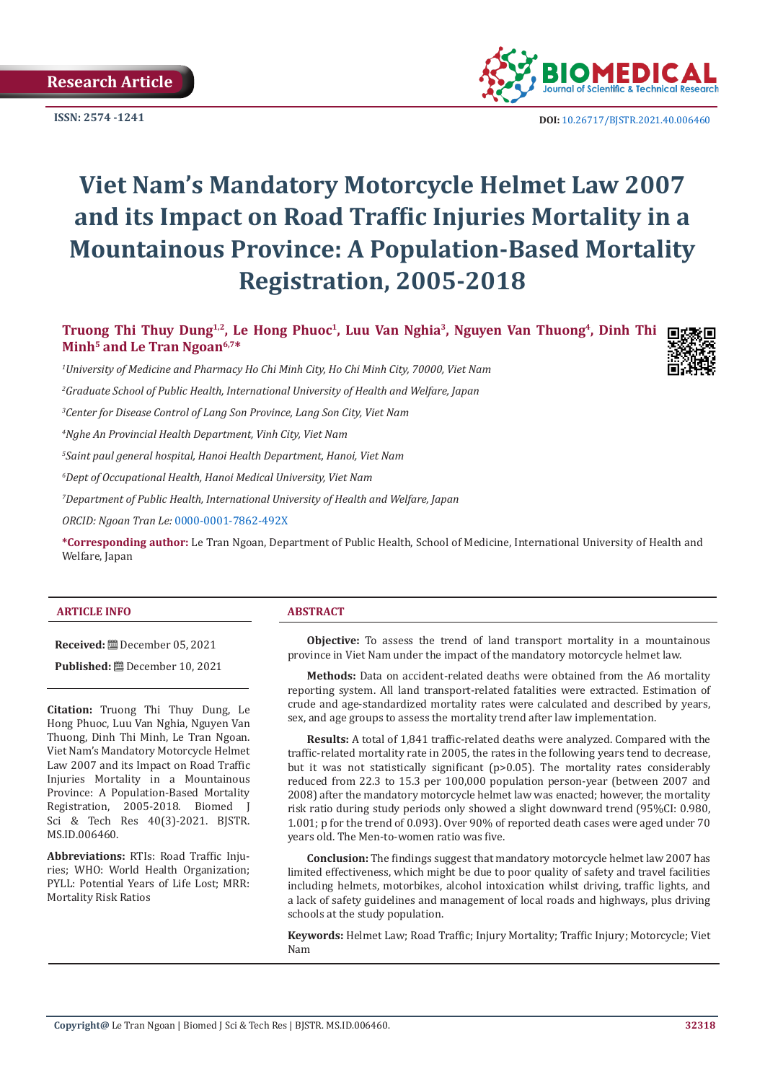

**ISSN:** 2574 -1241 **DOI:** [10.26717/BJSTR.2021.40.006460](https://dx.doi.org/10.26717/BJSTR.2021.40.006460)

# **Viet Nam's Mandatory Motorcycle Helmet Law 2007 and its Impact on Road Traffic Injuries Mortality in a Mountainous Province: A Population-Based Mortality Registration, 2005-2018**

**Truong Thi Thuy Dung1,2, Le Hong Phuoc<sup>1</sup>, Luu Van Nghia<sup>3</sup>, Nguyen Van Thuong4, Dinh Thi Minh5 and Le Tran Ngoan6,7\***

*1 University of Medicine and Pharmacy Ho Chi Minh City, Ho Chi Minh City, 70000, Viet Nam* 

*2 Graduate School of Public Health, International University of Health and Welfare, Japan*

*3 Center for Disease Control of Lang Son Province, Lang Son City, Viet Nam* 

*4 Nghe An Provincial Health Department, Vinh City, Viet Nam* 

*5 Saint paul general hospital, Hanoi Health Department, Hanoi, Viet Nam*

*6 Dept of Occupational Health, Hanoi Medical University, Viet Nam*

*7 Department of Public Health, International University of Health and Welfare, Japan*

*ORCID: Ngoan Tran Le:* [0000-0001-7862-492X](https://orcid.org/0000-0001-7862-492X)

**\*Corresponding author:** Le Tran Ngoan, Department of Public Health, School of Medicine, International University of Health and Welfare, Japan

#### **ARTICLE INFO ABSTRACT**

**Received:** December 05, 2021

**Published:** December 10, 2021

**Citation:** Truong Thi Thuy Dung, Le Hong Phuoc, Luu Van Nghia, Nguyen Van Thuong, Dinh Thi Minh, Le Tran Ngoan. Viet Nam's Mandatory Motorcycle Helmet Law 2007 and its Impact on Road Traffic Injuries Mortality in a Mountainous Province: A Population-Based Mortality Registration, 2005-2018. Biomed J Sci & Tech Res 40(3)-2021. BJSTR. MS.ID.006460.

**Abbreviations:** RTIs: Road Traffic Injuries; WHO: World Health Organization; PYLL: Potential Years of Life Lost; MRR: Mortality Risk Ratios

**Objective:** To assess the trend of land transport mortality in a mountainous province in Viet Nam under the impact of the mandatory motorcycle helmet law.

**Methods:** Data on accident-related deaths were obtained from the A6 mortality reporting system. All land transport-related fatalities were extracted. Estimation of crude and age-standardized mortality rates were calculated and described by years, sex, and age groups to assess the mortality trend after law implementation.

**Results:** A total of 1,841 traffic-related deaths were analyzed. Compared with the traffic-related mortality rate in 2005, the rates in the following years tend to decrease, but it was not statistically significant (p>0.05). The mortality rates considerably reduced from 22.3 to 15.3 per 100,000 population person-year (between 2007 and 2008) after the mandatory motorcycle helmet law was enacted; however, the mortality risk ratio during study periods only showed a slight downward trend (95%CI: 0.980, 1.001; p for the trend of 0.093). Over 90% of reported death cases were aged under 70 years old. The Men-to-women ratio was five.

**Conclusion:** The findings suggest that mandatory motorcycle helmet law 2007 has limited effectiveness, which might be due to poor quality of safety and travel facilities including helmets, motorbikes, alcohol intoxication whilst driving, traffic lights, and a lack of safety guidelines and management of local roads and highways, plus driving schools at the study population.

**Keywords:** Helmet Law; Road Traffic; Injury Mortality; Traffic Injury; Motorcycle; Viet Nam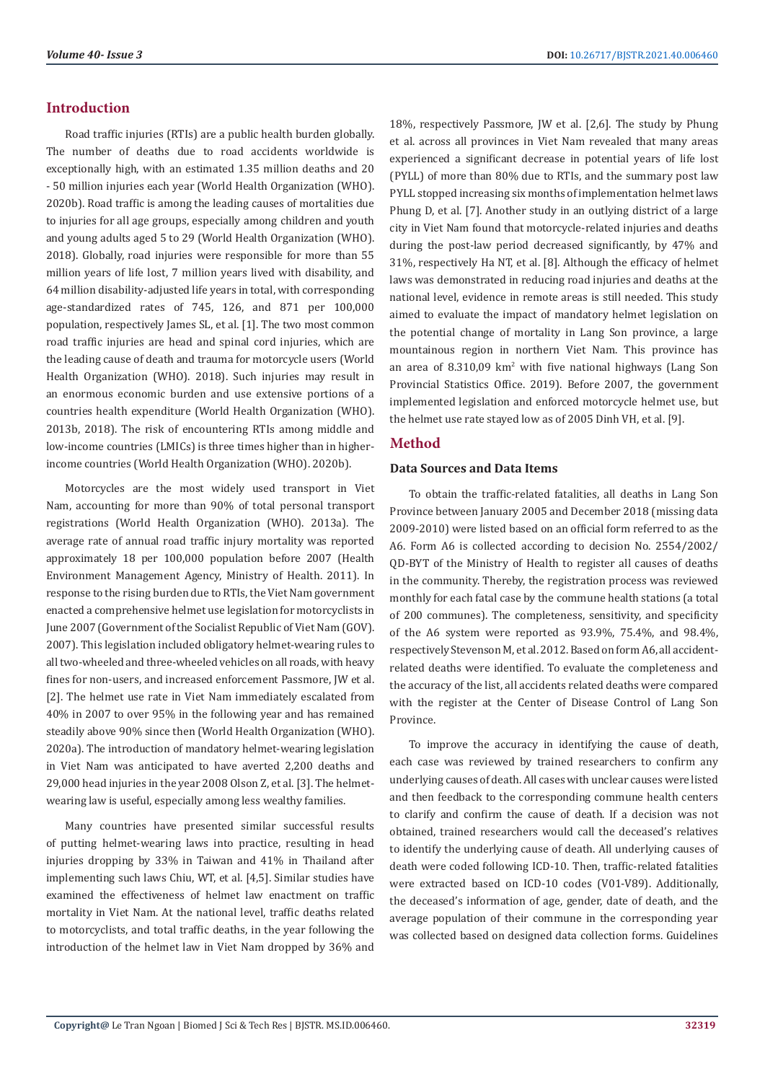#### **Introduction**

Road traffic injuries (RTIs) are a public health burden globally. The number of deaths due to road accidents worldwide is exceptionally high, with an estimated 1.35 million deaths and 20 - 50 million injuries each year (World Health Organization (WHO). 2020b). Road traffic is among the leading causes of mortalities due to injuries for all age groups, especially among children and youth and young adults aged 5 to 29 (World Health Organization (WHO). 2018). Globally, road injuries were responsible for more than 55 million years of life lost, 7 million years lived with disability, and 64 million disability-adjusted life years in total, with corresponding age-standardized rates of 745, 126, and 871 per 100,000 population, respectively James SL, et al. [1]. The two most common road traffic injuries are head and spinal cord injuries, which are the leading cause of death and trauma for motorcycle users (World Health Organization (WHO). 2018). Such injuries may result in an enormous economic burden and use extensive portions of a countries health expenditure (World Health Organization (WHO). 2013b, 2018). The risk of encountering RTIs among middle and low-income countries (LMICs) is three times higher than in higherincome countries (World Health Organization (WHO). 2020b).

Motorcycles are the most widely used transport in Viet Nam, accounting for more than 90% of total personal transport registrations (World Health Organization (WHO). 2013a). The average rate of annual road traffic injury mortality was reported approximately 18 per 100,000 population before 2007 (Health Environment Management Agency, Ministry of Health. 2011). In response to the rising burden due to RTIs, the Viet Nam government enacted a comprehensive helmet use legislation for motorcyclists in June 2007 (Government of the Socialist Republic of Viet Nam (GOV). 2007). This legislation included obligatory helmet-wearing rules to all two-wheeled and three-wheeled vehicles on all roads, with heavy fines for non-users, and increased enforcement Passmore, JW et al. [2]. The helmet use rate in Viet Nam immediately escalated from 40% in 2007 to over 95% in the following year and has remained steadily above 90% since then (World Health Organization (WHO). 2020a). The introduction of mandatory helmet-wearing legislation in Viet Nam was anticipated to have averted 2,200 deaths and 29,000 head injuries in the year 2008 Olson Z, et al. [3]. The helmetwearing law is useful, especially among less wealthy families.

Many countries have presented similar successful results of putting helmet-wearing laws into practice, resulting in head injuries dropping by 33% in Taiwan and 41% in Thailand after implementing such laws Chiu, WT, et al. [4,5]. Similar studies have examined the effectiveness of helmet law enactment on traffic mortality in Viet Nam. At the national level, traffic deaths related to motorcyclists, and total traffic deaths, in the year following the introduction of the helmet law in Viet Nam dropped by 36% and

18%, respectively Passmore, JW et al. [2,6]. The study by Phung et al. across all provinces in Viet Nam revealed that many areas experienced a significant decrease in potential years of life lost (PYLL) of more than 80% due to RTIs, and the summary post law PYLL stopped increasing six months of implementation helmet laws Phung D, et al. [7]. Another study in an outlying district of a large city in Viet Nam found that motorcycle-related injuries and deaths during the post-law period decreased significantly, by 47% and 31%, respectively Ha NT, et al. [8]. Although the efficacy of helmet laws was demonstrated in reducing road injuries and deaths at the national level, evidence in remote areas is still needed. This study aimed to evaluate the impact of mandatory helmet legislation on the potential change of mortality in Lang Son province, a large mountainous region in northern Viet Nam. This province has an area of  $8.310,09 \ \text{km}^2$  with five national highways (Lang Son Provincial Statistics Office. 2019). Before 2007, the government implemented legislation and enforced motorcycle helmet use, but the helmet use rate stayed low as of 2005 Dinh VH, et al. [9].

# **Method**

#### **Data Sources and Data Items**

To obtain the traffic-related fatalities, all deaths in Lang Son Province between January 2005 and December 2018 (missing data 2009-2010) were listed based on an official form referred to as the A6. Form A6 is collected according to decision No. 2554/2002/ QD-BYT of the Ministry of Health to register all causes of deaths in the community. Thereby, the registration process was reviewed monthly for each fatal case by the commune health stations (a total of 200 communes). The completeness, sensitivity, and specificity of the A6 system were reported as 93.9%, 75.4%, and 98.4%, respectively Stevenson M, et al. 2012. Based on form A6, all accidentrelated deaths were identified. To evaluate the completeness and the accuracy of the list, all accidents related deaths were compared with the register at the Center of Disease Control of Lang Son Province.

To improve the accuracy in identifying the cause of death, each case was reviewed by trained researchers to confirm any underlying causes of death. All cases with unclear causes were listed and then feedback to the corresponding commune health centers to clarify and confirm the cause of death. If a decision was not obtained, trained researchers would call the deceased's relatives to identify the underlying cause of death. All underlying causes of death were coded following ICD-10. Then, traffic-related fatalities were extracted based on ICD-10 codes (V01-V89). Additionally, the deceased's information of age, gender, date of death, and the average population of their commune in the corresponding year was collected based on designed data collection forms. Guidelines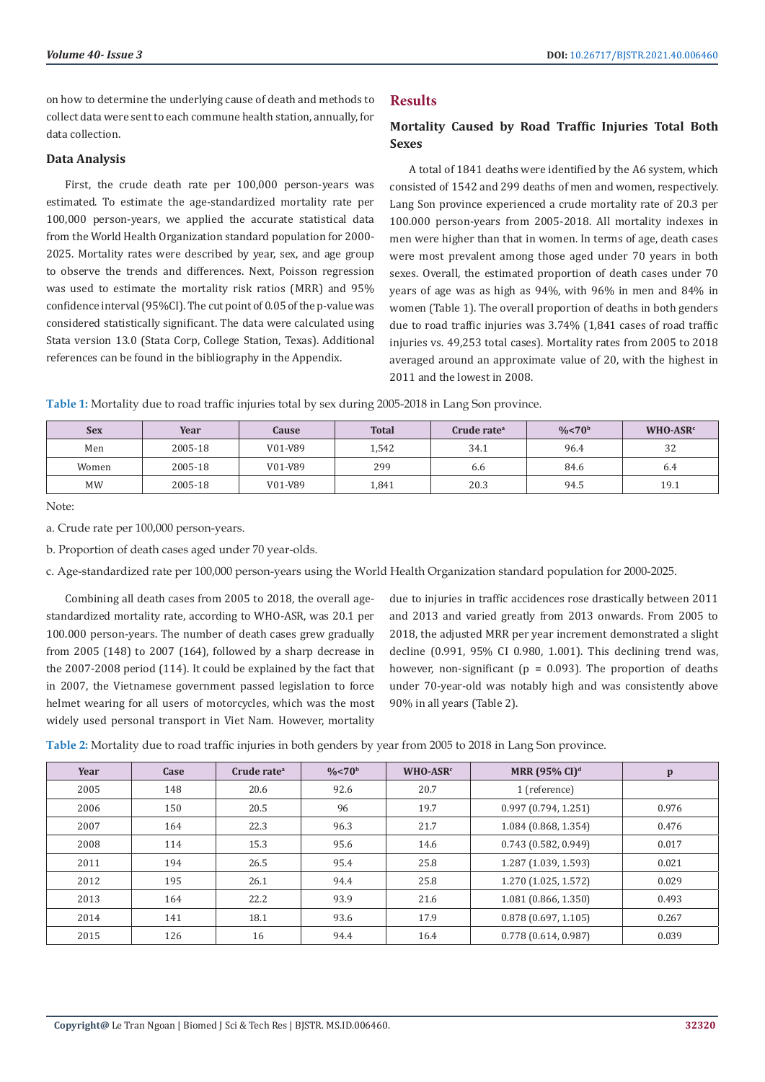on how to determine the underlying cause of death and methods to collect data were sent to each commune health station, annually, for data collection.

#### **Data Analysis**

First, the crude death rate per 100,000 person-years was estimated. To estimate the age-standardized mortality rate per 100,000 person-years, we applied the accurate statistical data from the World Health Organization standard population for 2000- 2025. Mortality rates were described by year, sex, and age group to observe the trends and differences. Next, Poisson regression was used to estimate the mortality risk ratios (MRR) and 95% confidence interval (95%CI). The cut point of 0.05 of the p-value was considered statistically significant. The data were calculated using Stata version 13.0 (Stata Corp, College Station, Texas). Additional references can be found in the bibliography in the Appendix.

# **Results**

### **Mortality Caused by Road Traffic Injuries Total Both Sexes**

A total of 1841 deaths were identified by the A6 system, which consisted of 1542 and 299 deaths of men and women, respectively. Lang Son province experienced a crude mortality rate of 20.3 per 100.000 person-years from 2005-2018. All mortality indexes in men were higher than that in women. In terms of age, death cases were most prevalent among those aged under 70 years in both sexes. Overall, the estimated proportion of death cases under 70 years of age was as high as 94%, with 96% in men and 84% in women (Table 1). The overall proportion of deaths in both genders due to road traffic injuries was 3.74% (1,841 cases of road traffic injuries vs. 49,253 total cases). Mortality rates from 2005 to 2018 averaged around an approximate value of 20, with the highest in 2011 and the lowest in 2008.

**Table 1:** Mortality due to road traffic injuries total by sex during 2005-2018 in Lang Son province.

| <b>Sex</b> | Year    | Cause   | <b>Total</b> | Crude rateª | $\frac{0}{6}$ < 70 <sup>b</sup> | $WHO-ASRc$ |
|------------|---------|---------|--------------|-------------|---------------------------------|------------|
| Men        | 2005-18 | V01-V89 | 1,542        | 34.1        | 96.4                            | 32         |
| Women      | 2005-18 | V01-V89 | 299          | 6.6         | 84.6                            | 6.4        |
| <b>MW</b>  | 2005-18 | V01-V89 | 1,841        | 20.3        | 94.5                            | 19.1       |

Note:

a. Crude rate per 100,000 person-years.

b. Proportion of death cases aged under 70 year-olds.

c. Age-standardized rate per 100,000 person-years using the World Health Organization standard population for 2000-2025.

Combining all death cases from 2005 to 2018, the overall agestandardized mortality rate, according to WHO-ASR, was 20.1 per 100.000 person-years. The number of death cases grew gradually from 2005 (148) to 2007 (164), followed by a sharp decrease in the 2007-2008 period (114). It could be explained by the fact that in 2007, the Vietnamese government passed legislation to force helmet wearing for all users of motorcycles, which was the most widely used personal transport in Viet Nam. However, mortality

due to injuries in traffic accidences rose drastically between 2011 and 2013 and varied greatly from 2013 onwards. From 2005 to 2018, the adjusted MRR per year increment demonstrated a slight decline (0.991, 95% CI 0.980, 1.001). This declining trend was, however, non-significant ( $p = 0.093$ ). The proportion of deaths under 70-year-old was notably high and was consistently above 90% in all years (Table 2).

**Table 2:** Mortality due to road traffic injuries in both genders by year from 2005 to 2018 in Lang Son province.

| Year | Case | Crude rate <sup>a</sup> | $\frac{0}{6}$ < 70 <sup>b</sup> | $WHO-ASRc$ | <b>MRR</b> (95% CI) <sup>d</sup> | $\mathbf{p}$ |
|------|------|-------------------------|---------------------------------|------------|----------------------------------|--------------|
| 2005 | 148  | 20.6                    | 92.6                            | 20.7       | 1 (reference)                    |              |
| 2006 | 150  | 20.5                    | 96                              | 19.7       | 0.997(0.794, 1.251)              | 0.976        |
| 2007 | 164  | 22.3                    | 96.3                            | 21.7       | 1.084 (0.868, 1.354)             | 0.476        |
| 2008 | 114  | 15.3                    | 95.6                            | 14.6       | 0.743(0.582, 0.949)              | 0.017        |
| 2011 | 194  | 26.5                    | 95.4                            | 25.8       | 1.287 (1.039, 1.593)             | 0.021        |
| 2012 | 195  | 26.1                    | 94.4                            | 25.8       | 1.270 (1.025, 1.572)             | 0.029        |
| 2013 | 164  | 22.2                    | 93.9                            | 21.6       | 1.081(0.866, 1.350)              | 0.493        |
| 2014 | 141  | 18.1                    | 93.6                            | 17.9       | 0.878(0.697, 1.105)              | 0.267        |
| 2015 | 126  | 16                      | 94.4                            | 16.4       | 0.778(0.614, 0.987)              | 0.039        |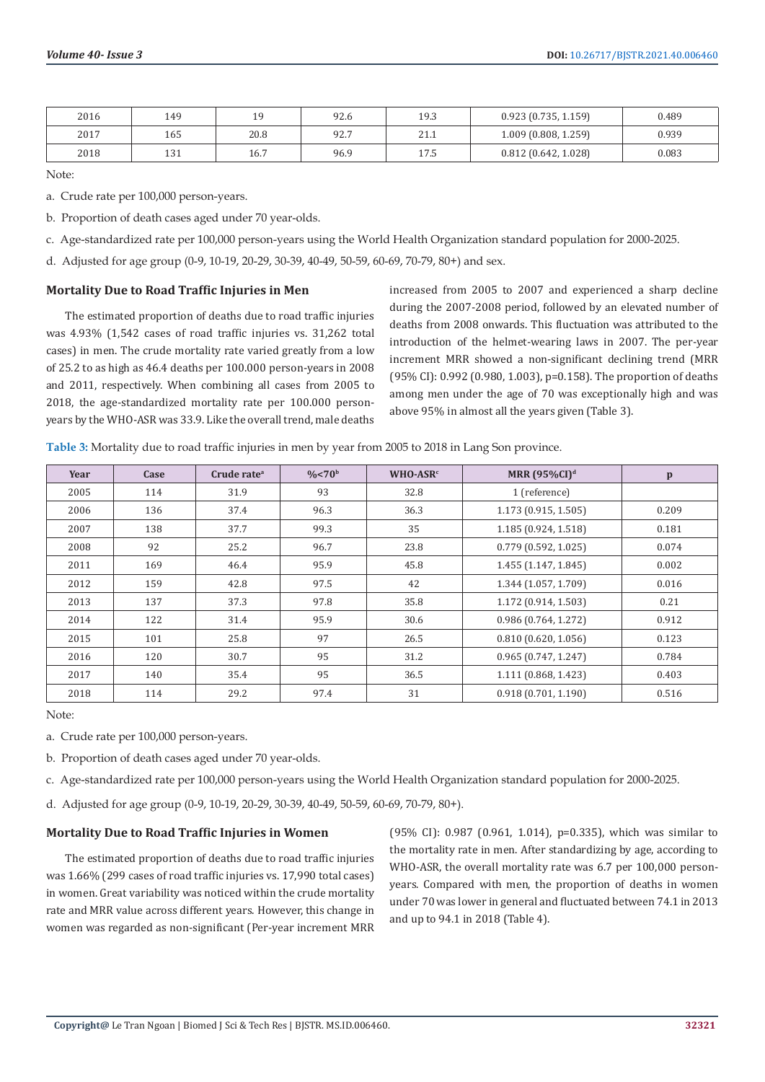| 2016 | 149 | 1 Q<br>ر م | 92.6 | 19.3 | 0.923(0.735, 1.159)  | 0.489 |
|------|-----|------------|------|------|----------------------|-------|
| 2017 | 165 | 20.8       | 92.7 | 21.1 | 1.009 (0.808, 1.259) | 0.939 |
| 2018 | 131 | 16.7       | 96.9 | 17.5 | 0.812(0.642, 1.028)  | 0.083 |

Note:

a. Crude rate per 100,000 person-years.

b. Proportion of death cases aged under 70 year-olds.

c. Age-standardized rate per 100,000 person-years using the World Health Organization standard population for 2000-2025.

d. Adjusted for age group (0-9, 10-19, 20-29, 30-39, 40-49, 50-59, 60-69, 70-79, 80+) and sex.

#### **Mortality Due to Road Traffic Injuries in Men**

The estimated proportion of deaths due to road traffic injuries was 4.93% (1,542 cases of road traffic injuries vs. 31,262 total cases) in men. The crude mortality rate varied greatly from a low of 25.2 to as high as 46.4 deaths per 100.000 person-years in 2008 and 2011, respectively. When combining all cases from 2005 to 2018, the age-standardized mortality rate per 100.000 personyears by the WHO-ASR was 33.9. Like the overall trend, male deaths

increased from 2005 to 2007 and experienced a sharp decline during the 2007-2008 period, followed by an elevated number of deaths from 2008 onwards. This fluctuation was attributed to the introduction of the helmet-wearing laws in 2007. The per-year increment MRR showed a non-significant declining trend (MRR (95% CI): 0.992 (0.980, 1.003), p=0.158). The proportion of deaths among men under the age of 70 was exceptionally high and was above 95% in almost all the years given (Table 3).

| Year | Case | Crude rate <sup>a</sup> | $\frac{0}{6}$ < 70 <sup>b</sup> | $WHO-ASRc$ | MRR $(95\%$ CI) <sup>d</sup> | p     |
|------|------|-------------------------|---------------------------------|------------|------------------------------|-------|
| 2005 | 114  | 31.9                    | 93                              | 32.8       | 1 (reference)                |       |
| 2006 | 136  | 37.4                    | 96.3                            | 36.3       | 1.173 (0.915, 1.505)         | 0.209 |
| 2007 | 138  | 37.7                    | 99.3                            | 35         | 1.185 (0.924, 1.518)         | 0.181 |
| 2008 | 92   | 25.2                    | 96.7                            | 23.8       | 0.779(0.592, 1.025)          | 0.074 |
| 2011 | 169  | 46.4                    | 95.9                            | 45.8       | 1.455 (1.147, 1.845)         | 0.002 |
| 2012 | 159  | 42.8                    | 97.5                            | 42         | 1.344 (1.057, 1.709)         | 0.016 |
| 2013 | 137  | 37.3                    | 97.8                            | 35.8       | 1.172 (0.914, 1.503)         | 0.21  |
| 2014 | 122  | 31.4                    | 95.9                            | 30.6       | 0.986 (0.764, 1.272)         | 0.912 |
| 2015 | 101  | 25.8                    | 97                              | 26.5       | 0.810(0.620, 1.056)          | 0.123 |
| 2016 | 120  | 30.7                    | 95                              | 31.2       | 0.965(0.747, 1.247)          | 0.784 |
| 2017 | 140  | 35.4                    | 95                              | 36.5       | 1.111 (0.868, 1.423)         | 0.403 |
| 2018 | 114  | 29.2                    | 97.4                            | 31         | 0.918(0.701, 1.190)          | 0.516 |

**Table 3:** Mortality due to road traffic injuries in men by year from 2005 to 2018 in Lang Son province.

Note:

a. Crude rate per 100,000 person-years.

b. Proportion of death cases aged under 70 year-olds.

c. Age-standardized rate per 100,000 person-years using the World Health Organization standard population for 2000-2025.

d. Adjusted for age group (0-9, 10-19, 20-29, 30-39, 40-49, 50-59, 60-69, 70-79, 80+).

#### **Mortality Due to Road Traffic Injuries in Women**

The estimated proportion of deaths due to road traffic injuries was 1.66% (299 cases of road traffic injuries vs. 17,990 total cases) in women. Great variability was noticed within the crude mortality rate and MRR value across different years. However, this change in women was regarded as non-significant (Per-year increment MRR

(95% CI): 0.987 (0.961, 1.014), p=0.335), which was similar to the mortality rate in men. After standardizing by age, according to WHO-ASR, the overall mortality rate was 6.7 per 100,000 personyears. Compared with men, the proportion of deaths in women under 70 was lower in general and fluctuated between 74.1 in 2013 and up to 94.1 in 2018 (Table 4).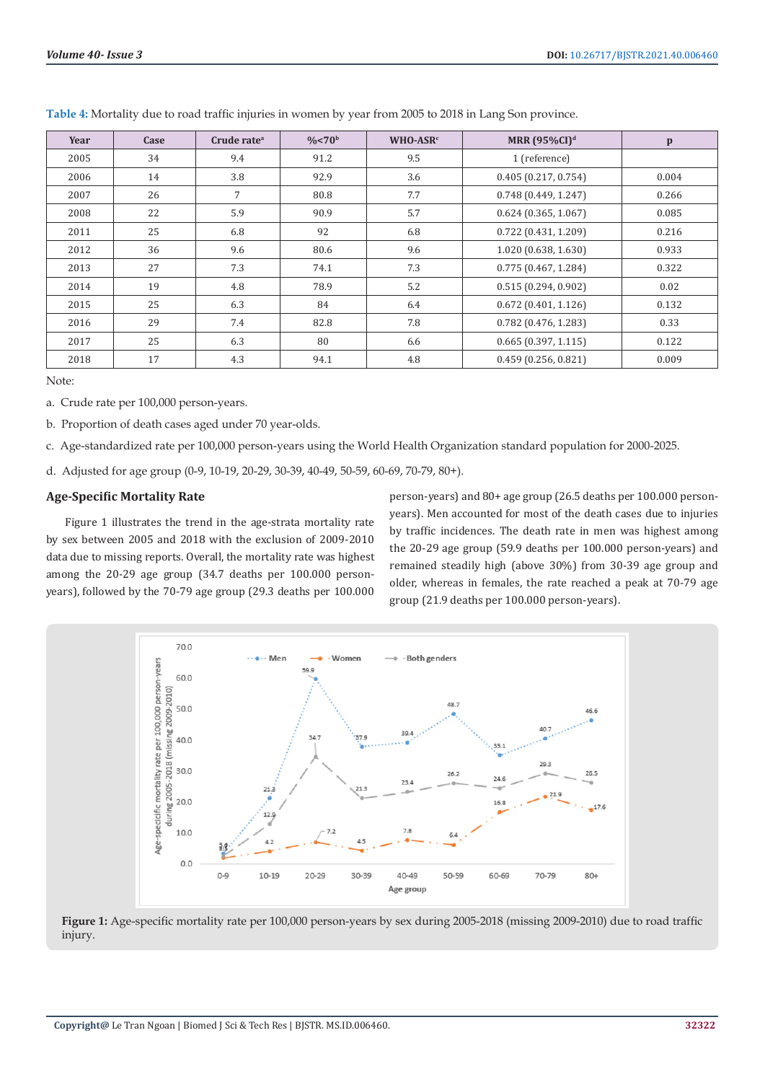| Year | Case | Crude rate <sup>a</sup> | $\frac{0}{6}$ < 70 <sup>b</sup> | WHO-ASR <sup>c</sup> | MRR $(95\%CI)^d$       | $\mathbf{p}$ |
|------|------|-------------------------|---------------------------------|----------------------|------------------------|--------------|
| 2005 | 34   | 9.4                     | 91.2                            | 9.5                  | 1 (reference)          |              |
| 2006 | 14   | 3.8                     | 92.9                            | 3.6                  | 0.405(0.217, 0.754)    | 0.004        |
| 2007 | 26   | 7                       | 80.8                            | 7.7                  | 0.748(0.449, 1.247)    | 0.266        |
| 2008 | 22   | 5.9                     | 90.9                            | 5.7                  | 0.624(0.365, 1.067)    | 0.085        |
| 2011 | 25   | 6.8                     | 92                              | 6.8                  | 0.722(0.431, 1.209)    | 0.216        |
| 2012 | 36   | 9.6                     | 80.6                            | 9.6                  | 1.020 (0.638, 1.630)   | 0.933        |
| 2013 | 27   | 7.3                     | 74.1                            | 7.3                  | 0.775(0.467, 1.284)    | 0.322        |
| 2014 | 19   | 4.8                     | 78.9                            | 5.2                  | 0.515(0.294, 0.902)    | 0.02         |
| 2015 | 25   | 6.3                     | 84                              | 6.4                  | 0.672(0.401, 1.126)    | 0.132        |
| 2016 | 29   | 7.4                     | 82.8                            | 7.8                  | $0.782$ (0.476, 1.283) | 0.33         |
| 2017 | 25   | 6.3                     | 80                              | 6.6                  | $0.665$ (0.397, 1.115) | 0.122        |
| 2018 | 17   | 4.3                     | 94.1                            | 4.8                  | 0.459(0.256, 0.821)    | 0.009        |

**Table 4:** Mortality due to road traffic injuries in women by year from 2005 to 2018 in Lang Son province.

Note:

- a. Crude rate per 100,000 person-years.
- b. Proportion of death cases aged under 70 year-olds.

c. Age-standardized rate per 100,000 person-years using the World Health Organization standard population for 2000-2025.

d. Adjusted for age group (0-9, 10-19, 20-29, 30-39, 40-49, 50-59, 60-69, 70-79, 80+).

#### **Age-Specific Mortality Rate**

Figure 1 illustrates the trend in the age-strata mortality rate by sex between 2005 and 2018 with the exclusion of 2009-2010 data due to missing reports. Overall, the mortality rate was highest among the 20-29 age group (34.7 deaths per 100.000 personyears), followed by the 70-79 age group (29.3 deaths per 100.000

person-years) and 80+ age group (26.5 deaths per 100.000 personyears). Men accounted for most of the death cases due to injuries by traffic incidences. The death rate in men was highest among the 20-29 age group (59.9 deaths per 100.000 person-years) and remained steadily high (above 30%) from 30-39 age group and older, whereas in females, the rate reached a peak at 70-79 age group (21.9 deaths per 100.000 person-years).



**Figure 1:** Age-specific mortality rate per 100,000 person-years by sex during 2005-2018 (missing 2009-2010) due to road traffic injury.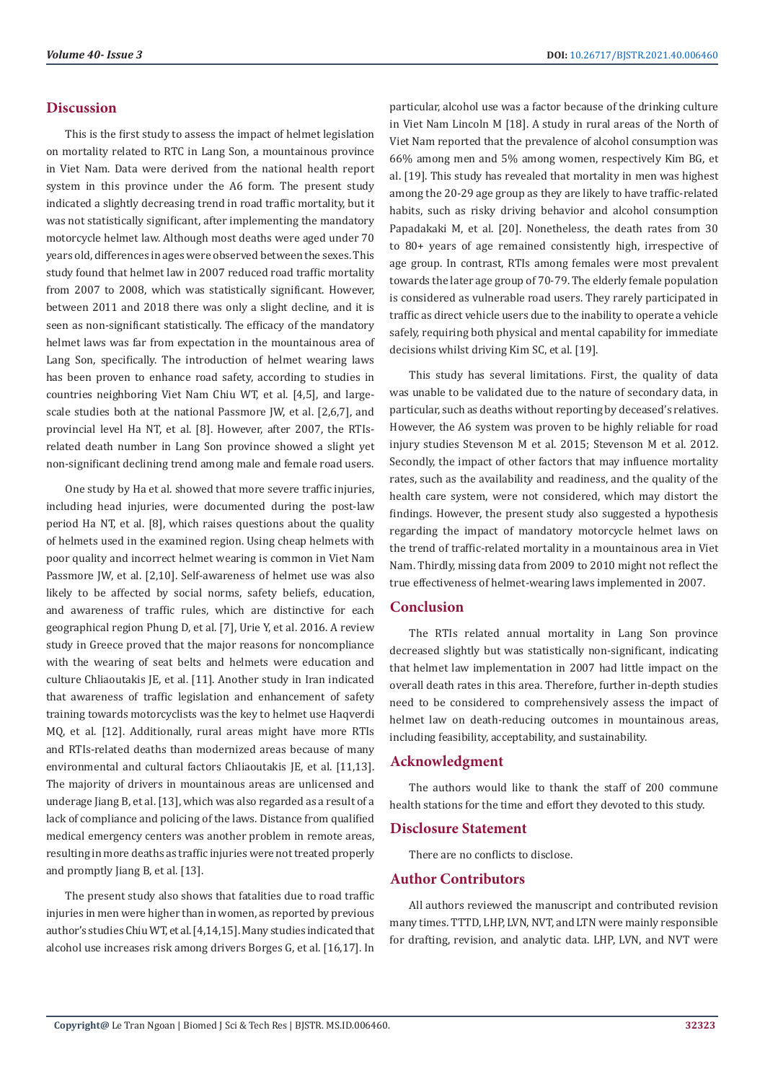#### **Discussion**

This is the first study to assess the impact of helmet legislation on mortality related to RTC in Lang Son, a mountainous province in Viet Nam. Data were derived from the national health report system in this province under the A6 form. The present study indicated a slightly decreasing trend in road traffic mortality, but it was not statistically significant, after implementing the mandatory motorcycle helmet law. Although most deaths were aged under 70 years old, differences in ages were observed between the sexes. This study found that helmet law in 2007 reduced road traffic mortality from 2007 to 2008, which was statistically significant. However, between 2011 and 2018 there was only a slight decline, and it is seen as non-significant statistically. The efficacy of the mandatory helmet laws was far from expectation in the mountainous area of Lang Son, specifically. The introduction of helmet wearing laws has been proven to enhance road safety, according to studies in countries neighboring Viet Nam Chiu WT, et al. [4,5], and largescale studies both at the national Passmore JW, et al. [2,6,7], and provincial level Ha NT, et al. [8]. However, after 2007, the RTIsrelated death number in Lang Son province showed a slight yet non-significant declining trend among male and female road users.

One study by Ha et al. showed that more severe traffic injuries, including head injuries, were documented during the post-law period Ha NT, et al. [8], which raises questions about the quality of helmets used in the examined region. Using cheap helmets with poor quality and incorrect helmet wearing is common in Viet Nam Passmore JW, et al. [2,10]. Self-awareness of helmet use was also likely to be affected by social norms, safety beliefs, education, and awareness of traffic rules, which are distinctive for each geographical region Phung D, et al. [7], Urie Y, et al. 2016. A review study in Greece proved that the major reasons for noncompliance with the wearing of seat belts and helmets were education and culture Chliaoutakis JE, et al. [11]. Another study in Iran indicated that awareness of traffic legislation and enhancement of safety training towards motorcyclists was the key to helmet use Haqverdi MQ, et al. [12]. Additionally, rural areas might have more RTIs and RTIs-related deaths than modernized areas because of many environmental and cultural factors Chliaoutakis JE, et al. [11,13]. The majority of drivers in mountainous areas are unlicensed and underage Jiang B, et al. [13], which was also regarded as a result of a lack of compliance and policing of the laws. Distance from qualified medical emergency centers was another problem in remote areas, resulting in more deaths as traffic injuries were not treated properly and promptly Jiang B, et al. [13].

The present study also shows that fatalities due to road traffic injuries in men were higher than in women, as reported by previous author's studies Chiu WT, et al. [4,14,15]. Many studies indicated that alcohol use increases risk among drivers Borges G, et al. [16,17]. In

particular, alcohol use was a factor because of the drinking culture in Viet Nam Lincoln M [18]. A study in rural areas of the North of Viet Nam reported that the prevalence of alcohol consumption was 66% among men and 5% among women, respectively Kim BG, et al. [19]. This study has revealed that mortality in men was highest among the 20-29 age group as they are likely to have traffic-related habits, such as risky driving behavior and alcohol consumption Papadakaki M, et al. [20]. Nonetheless, the death rates from 30 to 80+ years of age remained consistently high, irrespective of age group. In contrast, RTIs among females were most prevalent towards the later age group of 70-79. The elderly female population is considered as vulnerable road users. They rarely participated in traffic as direct vehicle users due to the inability to operate a vehicle safely, requiring both physical and mental capability for immediate decisions whilst driving Kim SC, et al. [19].

This study has several limitations. First, the quality of data was unable to be validated due to the nature of secondary data, in particular, such as deaths without reporting by deceased's relatives. However, the A6 system was proven to be highly reliable for road injury studies Stevenson M et al. 2015; Stevenson M et al. 2012. Secondly, the impact of other factors that may influence mortality rates, such as the availability and readiness, and the quality of the health care system, were not considered, which may distort the findings. However, the present study also suggested a hypothesis regarding the impact of mandatory motorcycle helmet laws on the trend of traffic-related mortality in a mountainous area in Viet Nam. Thirdly, missing data from 2009 to 2010 might not reflect the true effectiveness of helmet-wearing laws implemented in 2007.

# **Conclusion**

The RTIs related annual mortality in Lang Son province decreased slightly but was statistically non-significant, indicating that helmet law implementation in 2007 had little impact on the overall death rates in this area. Therefore, further in-depth studies need to be considered to comprehensively assess the impact of helmet law on death-reducing outcomes in mountainous areas, including feasibility, acceptability, and sustainability.

# **Acknowledgment**

The authors would like to thank the staff of 200 commune health stations for the time and effort they devoted to this study.

#### **Disclosure Statement**

There are no conflicts to disclose.

#### **Author Contributors**

All authors reviewed the manuscript and contributed revision many times. TTTD, LHP, LVN, NVT, and LTN were mainly responsible for drafting, revision, and analytic data. LHP, LVN, and NVT were